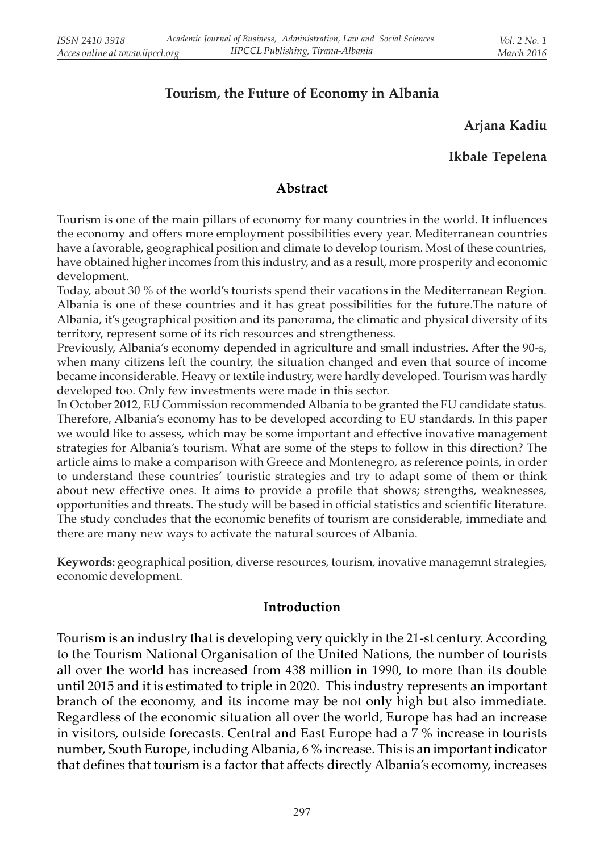# Tourism, the Future of Economy in Albania

# Arjana Kadiu

### Ikbale Tepelena

#### Abstract

Tourism is one of the main pillars of economy for many countries in the world. It influences the economy and offers more employment possibilities every year. Mediterranean countries have a favorable, geographical position and climate to develop tourism. Most of these countries, have obtained higher incomes from this industry, and as a result, more prosperity and economic development.

Today, about 30 % of the world's tourists spend their vacations in the Mediterranean Region. Albania is one of these countries and it has great possibilities for the future.The nature of Albania, it's geographical position and its panorama, the climatic and physical diversity of its territory, represent some of its rich resources and strengtheness.

Previously, Albania's economy depended in agriculture and small industries. After the 90-s, when many citizens left the country, the situation changed and even that source of income became inconsiderable. Heavy or textile industry, were hardly developed. Tourism was hardly developed too. Only few investments were made in this sector.

In October 2012, EU Commission recommended Albania to be granted the EU candidate status. Therefore, Albania's economy has to be developed according to EU standards. In this paper we would like to assess, which may be some important and effective inovative management strategies for Albania's tourism. What are some of the steps to follow in this direction? The article aims to make a comparison with Greece and Montenegro, as reference points, in order to understand these countries' touristic strategies and try to adapt some of them or think about new effective ones. It aims to provide a profile that shows; strengths, weaknesses, opportunities and threats. The study will be based in official statistics and scientific literature. The study concludes that the economic benefits of tourism are considerable, immediate and there are many new ways to activate the natural sources of Albania.

Keywords: geographical position, diverse resources, tourism, inovative managemnt strategies, economic development.

#### Introduction

Tourism is an industry that is developing very quickly in the 21-st century. According to the Tourism National Organisation of the United Nations, the number of tourists all over the world has increased from 438 million in 1990, to more than its double until 2015 and it is estimated to triple in 2020. This industry represents an important branch of the economy, and its income may be not only high but also immediate. Regardless of the economic situation all over the world, Europe has had an increase in visitors, outside forecasts. Central and East Europe had a 7 % increase in tourists number, South Europe, including Albania, 6 % increase. This is an important indicator that defines that tourism is a factor that affects directly Albania's ecomomy, increases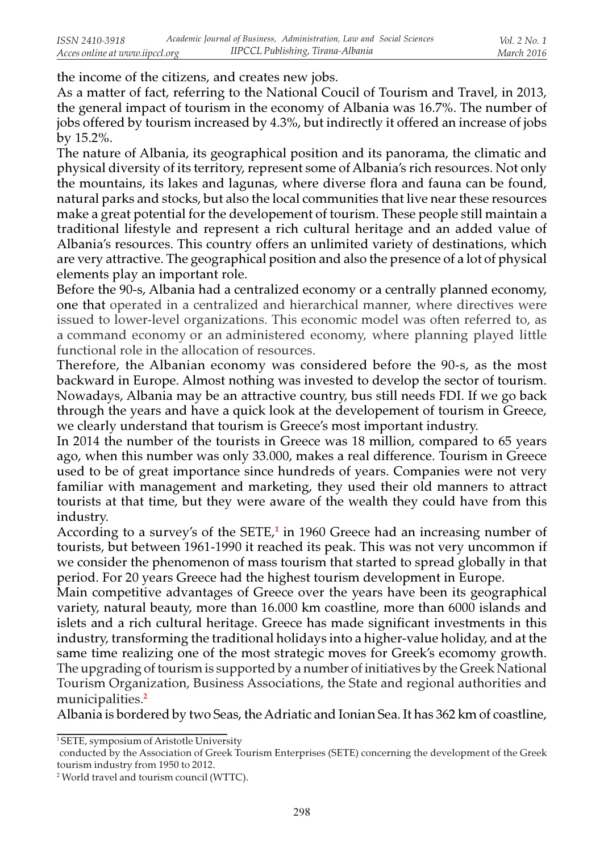the income of the citizens, and creates new jobs.

As a matter of fact, referring to the National Coucil of Tourism and Travel, in 2013, the general impact of tourism in the economy of Albania was 16.7%. The number of jobs offered by tourism increased by 4.3%, but indirectly it offered an increase of jobs by 15.2%.

The nature of Albania, its geographical position and its panorama, the climatic and physical diversity of its territory, represent some of Albania's rich resources. Not only the mountains, its lakes and lagunas, where diverse flora and fauna can be found, natural parks and stocks, but also the local communities that live near these resources make a great potential for the developement of tourism. These people still maintain a traditional lifestyle and represent a rich cultural heritage and an added value of Albania's resources. This country offers an unlimited variety of destinations, which are very attractive. The geographical position and also the presence of a lot of physical elements play an important role.

Before the 90-s, Albania had a centralized economy or a centrally planned economy, one that operated in a centralized and hierarchical manner, where directives were issued to lower-level organizations. This economic model was often referred to, as a command economy or an administered economy, where planning played little functional role in the allocation of resources.

Therefore, the Albanian economy was considered before the 90-s, as the most backward in Europe. Almost nothing was invested to develop the sector of tourism. Nowadays, Albania may be an attractive country, bus still needs FDI. If we go back through the years and have a quick look at the developement of tourism in Greece, we clearly understand that tourism is Greece's most important industry.

In 2014 the number of the tourists in Greece was 18 million, compared to 65 years ago, when this number was only 33.000, makes a real difference. Tourism in Greece used to be of great importance since hundreds of years. Companies were not very familiar with management and marketing, they used their old manners to attract tourists at that time, but they were aware of the wealth they could have from this industry.

According to a survey's of the SETE,<sup>1</sup> in 1960 Greece had an increasing number of tourists, but between 1961-1990 it reached its peak. This was not very uncommon if we consider the phenomenon of mass tourism that started to spread globally in that period. For 20 years Greece had the highest tourism development in Europe.

Main competitive advantages of Greece over the years have been its geographical variety, natural beauty, more than 16.000 km coastline, more than 6000 islands and islets and a rich cultural heritage. Greece has made significant investments in this industry, transforming the traditional holidays into a higher-value holiday, and at the same time realizing one of the most strategic moves for Greek's ecomomy growth. The upgrading of tourism is supported by a number of initiatives by the Greek National Tourism Organization, Business Associations, the State and regional authorities and municipalities.<sup>2</sup>

Albania is bordered by two Seas, the Adriatic and Ionian Sea. It has 362 km of coastline,

<sup>1</sup>SETE, symposium of Aristotle University

conducted by the Association of Greek Tourism Enterprises (SETE) concerning the development of the Greek tourism industry from 1950 to 2012.

<sup>2</sup> World travel and tourism council (WTTC).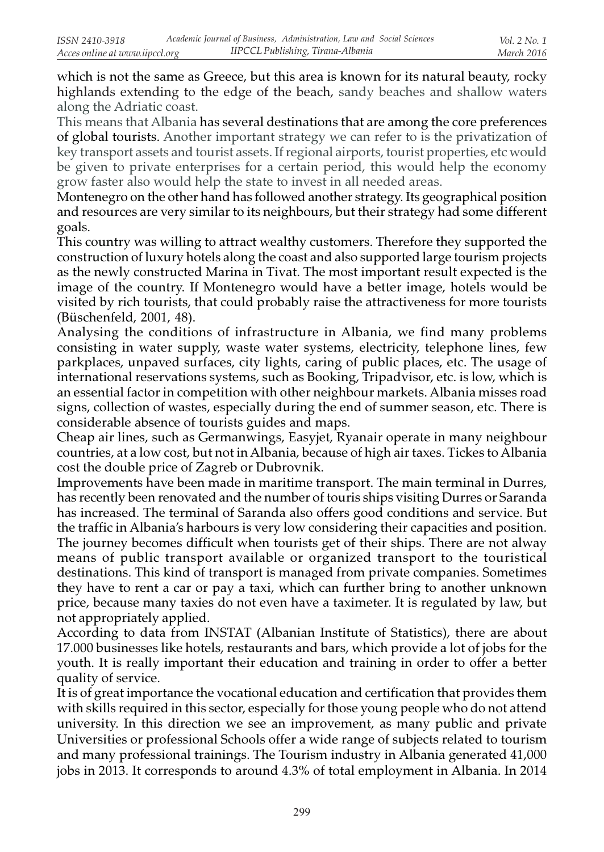which is not the same as Greece, but this area is known for its natural beauty, rocky highlands extending to the edge of the beach, sandy beaches and shallow waters along the Adriatic coast.

This means that Albania has several destinations that are among the core preferences of global tourists. Another important strategy we can refer to is the privatization of key transport assets and tourist assets. If regional airports, tourist properties, etc would be given to private enterprises for a certain period, this would help the economy grow faster also would help the state to invest in all needed areas.

Montenegro on the other hand has followed another strategy. Its geographical position and resources are very similar to its neighbours, but their strategy had some different goals.

This country was willing to attract wealthy customers. Therefore they supported the construction of luxury hotels along the coast and also supported large tourism projects as the newly constructed Marina in Tivat. The most important result expected is the image of the country. If Montenegro would have a better image, hotels would be visited by rich tourists, that could probably raise the attractiveness for more tourists (Büschenfeld, 2001, 48).

Analysing the conditions of infrastructure in Albania, we find many problems consisting in water supply, waste water systems, electricity, telephone lines, few parkplaces, unpaved surfaces, city lights, caring of public places, etc. The usage of international reservations systems, such as Booking, Tripadvisor, etc. is low, which is an essential factor in competition with other neighbour markets. Albania misses road signs, collection of wastes, especially during the end of summer season, etc. There is considerable absence of tourists guides and maps.

Cheap air lines, such as Germanwings, Easyjet, Ryanair operate in many neighbour countries, at a low cost, but not in Albania, because of high air taxes. Tickes to Albania cost the double price of Zagreb or Dubrovnik.

Improvements have been made in maritime transport. The main terminal in Durres, has recently been renovated and the number of touris ships visiting Durres or Saranda has increased. The terminal of Saranda also offers good conditions and service. But the traffic in Albania's harbours is very low considering their capacities and position. The journey becomes difficult when tourists get of their ships. There are not alway means of public transport available or organized transport to the touristical destinations. This kind of transport is managed from private companies. Sometimes they have to rent a car or pay a taxi, which can further bring to another unknown price, because many taxies do not even have a taximeter. It is regulated by law, but not appropriately applied.

According to data from INSTAT (Albanian Institute of Statistics), there are about 17.000 businesses like hotels, restaurants and bars, which provide a lot of jobs for the youth. It is really important their education and training in order to offer a better quality of service.

It is of great importance the vocational education and certification that provides them with skills required in this sector, especially for those young people who do not attend university. In this direction we see an improvement, as many public and private Universities or professional Schools offer a wide range of subjects related to tourism and many professional trainings. The Tourism industry in Albania generated 41,000 jobs in 2013. It corresponds to around 4.3% of total employment in Albania. In 2014